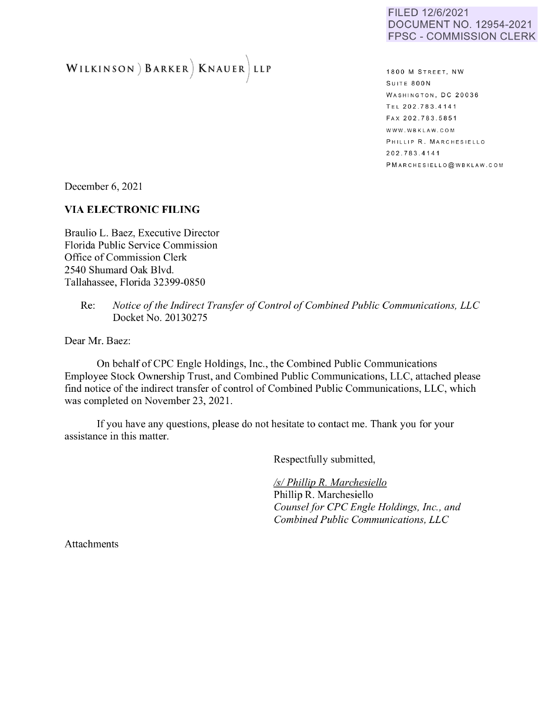#### FILED 12/6/2021 DOCUMENT NO. 12954-2021 FPSC - COMMISSION CLERK

# **WILKINSON ) BARKER) KNAUER) LLP**

**1800 M STREET, NW** SUITE 800N WASHINGTON, DC 20036 TEL 202.78 3.41 41 F AX 202.783.585 1 WWW.WBKLAW.COM PHILLIP R. MARCHESIELLO 202.783.4141 P M ARCHESIELLO @WBKLAW.COM

December 6, 2021

## **VIA ELECTRONIC FILING**

Braulio L. Baez, Executive Director Florida Public Service Commission Office of Commission Clerk 2540 Shumard Oak Blvd. Tallahassee, Florida 32399-0850

> Re: *Notice of the Indirect Transfer of Control of Combined Public Communications, LLC*  Docket No. 20130275

Dear Mr. Baez:

On behalf of CPC Engle Holdings, Inc., the Combined Public Communications Employee Stock Ownership Trust, and Combined Public Communications, LLC, attached please find notice of the indirect transfer of control of Combined Public Communications, LLC, which was completed on November 23, 2021.

If you have any questions, please do not hesitate to contact me. Thank you for your assistance in this matter.

Respectfully submitted,

*Isl Phillip R. Marchesiello*  Phillip R. Marchesiello *Counsel for CPC Engle Holdings, Inc., and Combined Public Communications, LLC* 

Attachments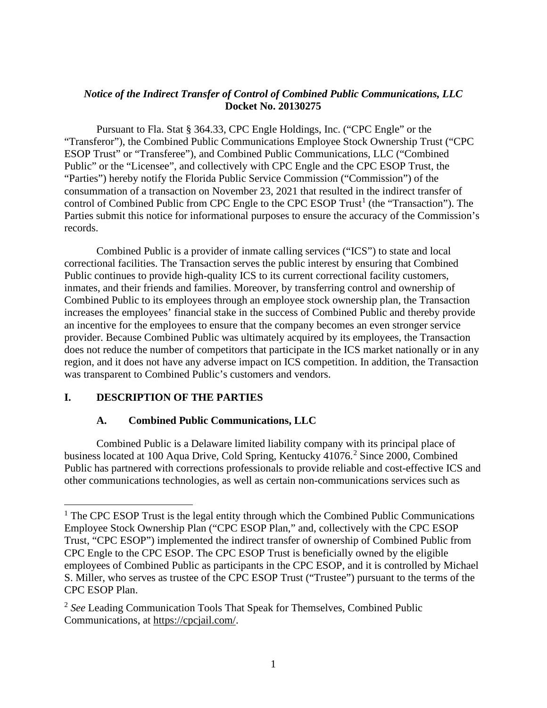# *Notice of the Indirect Transfer of Control of Combined Public Communications, LLC* **Docket No. 20130275**

Pursuant to Fla. Stat § 364.33, CPC Engle Holdings, Inc. ("CPC Engle" or the "Transferor"), the Combined Public Communications Employee Stock Ownership Trust ("CPC ESOP Trust" or "Transferee"), and Combined Public Communications, LLC ("Combined Public" or the "Licensee", and collectively with CPC Engle and the CPC ESOP Trust, the "Parties") hereby notify the Florida Public Service Commission ("Commission") of the consummation of a transaction on November 23, 2021 that resulted in the indirect transfer of control of Combined Public from CPC Engle to the CPC ESOP  $Trust^1$  $Trust^1$  (the "Transaction"). The Parties submit this notice for informational purposes to ensure the accuracy of the Commission's records.

Combined Public is a provider of inmate calling services ("ICS") to state and local correctional facilities. The Transaction serves the public interest by ensuring that Combined Public continues to provide high-quality ICS to its current correctional facility customers, inmates, and their friends and families. Moreover, by transferring control and ownership of Combined Public to its employees through an employee stock ownership plan, the Transaction increases the employees' financial stake in the success of Combined Public and thereby provide an incentive for the employees to ensure that the company becomes an even stronger service provider. Because Combined Public was ultimately acquired by its employees, the Transaction does not reduce the number of competitors that participate in the ICS market nationally or in any region, and it does not have any adverse impact on ICS competition. In addition, the Transaction was transparent to Combined Public's customers and vendors.

# **I. DESCRIPTION OF THE PARTIES**

# **A. Combined Public Communications, LLC**

Combined Public is a Delaware limited liability company with its principal place of business located at 100 Aqua Drive, Cold Spring, Kentucky 41076.<sup>[2](#page-1-1)</sup> Since 2000, Combined Public has partnered with corrections professionals to provide reliable and cost-effective ICS and other communications technologies, as well as certain non-communications services such as

<span id="page-1-0"></span><sup>&</sup>lt;sup>1</sup> The CPC ESOP Trust is the legal entity through which the Combined Public Communications Employee Stock Ownership Plan ("CPC ESOP Plan," and, collectively with the CPC ESOP Trust, "CPC ESOP") implemented the indirect transfer of ownership of Combined Public from CPC Engle to the CPC ESOP. The CPC ESOP Trust is beneficially owned by the eligible employees of Combined Public as participants in the CPC ESOP, and it is controlled by Michael S. Miller, who serves as trustee of the CPC ESOP Trust ("Trustee") pursuant to the terms of the CPC ESOP Plan.

<span id="page-1-1"></span><sup>2</sup> *See* Leading Communication Tools That Speak for Themselves, Combined Public Communications, at https://cpcjail.com/.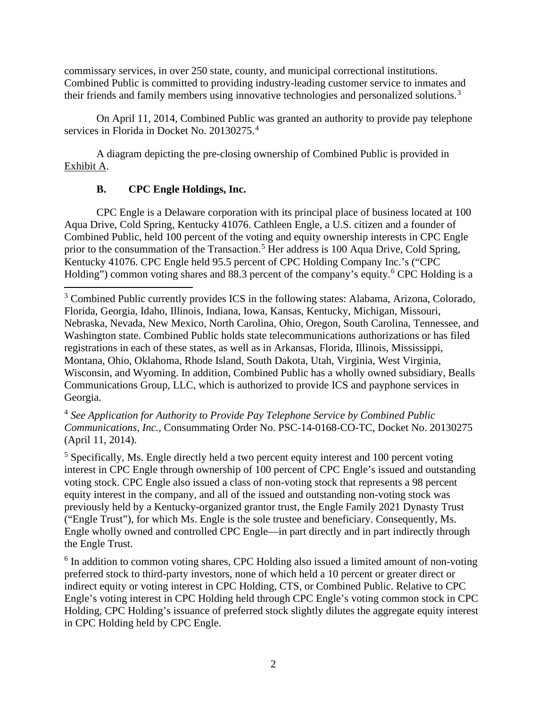commissary services, in over 250 state, county, and municipal correctional institutions. Combined Public is committed to providing industry-leading customer service to inmates and their friends and family members using innovative technologies and personalized solutions.<sup>[3](#page-2-0)</sup>

On April 11, 2014, Combined Public was granted an authority to provide pay telephone services in Florida in Docket No. 20130275.<sup>[4](#page-2-1)</sup>

A diagram depicting the pre-closing ownership of Combined Public is provided in Exhibit A.

# **B. CPC Engle Holdings, Inc.**

CPC Engle is a Delaware corporation with its principal place of business located at 100 Aqua Drive, Cold Spring, Kentucky 41076. Cathleen Engle, a U.S. citizen and a founder of Combined Public, held 100 percent of the voting and equity ownership interests in CPC Engle prior to the consummation of the Transaction.<sup>[5](#page-2-2)</sup> Her address is 100 Aqua Drive, Cold Spring, Kentucky 41076. CPC Engle held 95.5 percent of CPC Holding Company Inc.'s ("CPC Holding") common voting shares and 88.3 percent of the company's equity.<sup>[6](#page-2-3)</sup> CPC Holding is a

<span id="page-2-1"></span><sup>4</sup> *See Application for Authority to Provide Pay Telephone Service by Combined Public Communications, Inc.*, Consummating Order No. PSC-14-0168-CO-TC, Docket No. 20130275 (April 11, 2014).

<span id="page-2-2"></span><sup>5</sup> Specifically, Ms. Engle directly held a two percent equity interest and 100 percent voting interest in CPC Engle through ownership of 100 percent of CPC Engle's issued and outstanding voting stock. CPC Engle also issued a class of non-voting stock that represents a 98 percent equity interest in the company, and all of the issued and outstanding non-voting stock was previously held by a Kentucky-organized grantor trust, the Engle Family 2021 Dynasty Trust ("Engle Trust"), for which Ms. Engle is the sole trustee and beneficiary. Consequently, Ms. Engle wholly owned and controlled CPC Engle—in part directly and in part indirectly through the Engle Trust.

<span id="page-2-3"></span><sup>6</sup> In addition to common voting shares, CPC Holding also issued a limited amount of non-voting preferred stock to third-party investors, none of which held a 10 percent or greater direct or indirect equity or voting interest in CPC Holding, CTS, or Combined Public. Relative to CPC Engle's voting interest in CPC Holding held through CPC Engle's voting common stock in CPC Holding, CPC Holding's issuance of preferred stock slightly dilutes the aggregate equity interest in CPC Holding held by CPC Engle.

<span id="page-2-0"></span><sup>&</sup>lt;sup>3</sup> Combined Public currently provides ICS in the following states: Alabama, Arizona, Colorado, Florida, Georgia, Idaho, Illinois, Indiana, Iowa, Kansas, Kentucky, Michigan, Missouri, Nebraska, Nevada, New Mexico, North Carolina, Ohio, Oregon, South Carolina, Tennessee, and Washington state. Combined Public holds state telecommunications authorizations or has filed registrations in each of these states, as well as in Arkansas, Florida, Illinois, Mississippi, Montana, Ohio, Oklahoma, Rhode Island, South Dakota, Utah, Virginia, West Virginia, Wisconsin, and Wyoming. In addition, Combined Public has a wholly owned subsidiary, Bealls Communications Group, LLC, which is authorized to provide ICS and payphone services in Georgia.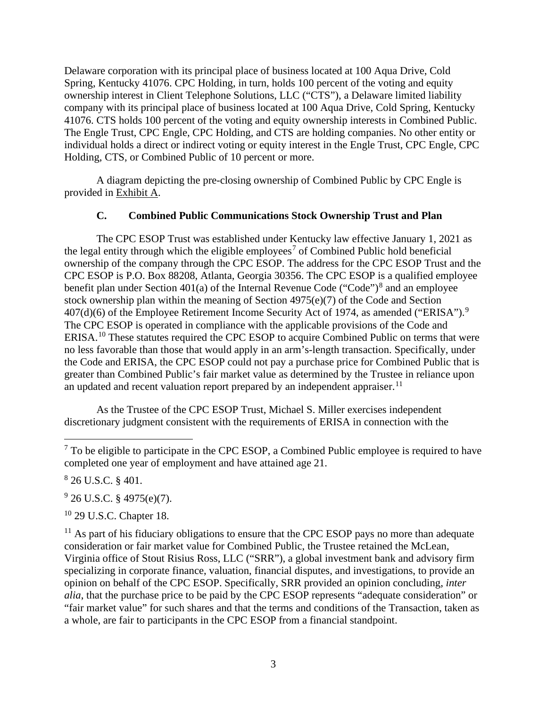Delaware corporation with its principal place of business located at 100 Aqua Drive, Cold Spring, Kentucky 41076. CPC Holding, in turn, holds 100 percent of the voting and equity ownership interest in Client Telephone Solutions, LLC ("CTS"), a Delaware limited liability company with its principal place of business located at 100 Aqua Drive, Cold Spring, Kentucky 41076. CTS holds 100 percent of the voting and equity ownership interests in Combined Public. The Engle Trust, CPC Engle, CPC Holding, and CTS are holding companies. No other entity or individual holds a direct or indirect voting or equity interest in the Engle Trust, CPC Engle, CPC Holding, CTS, or Combined Public of 10 percent or more.

A diagram depicting the pre-closing ownership of Combined Public by CPC Engle is provided in Exhibit A.

## **C. Combined Public Communications Stock Ownership Trust and Plan**

The CPC ESOP Trust was established under Kentucky law effective January 1, 2021 as the legal entity through which the eligible employees<sup>[7](#page-3-0)</sup> of Combined Public hold beneficial ownership of the company through the CPC ESOP. The address for the CPC ESOP Trust and the CPC ESOP is P.O. Box 88208, Atlanta, Georgia 30356. The CPC ESOP is a qualified employee benefit plan under Section 401(a) of the Internal Revenue Code ("Code")<sup>[8](#page-3-1)</sup> and an employee stock ownership plan within the meaning of Section 4975(e)(7) of the Code and Section  $407(d)(6)$  of the Employee Retirement Income Security Act of 1[9](#page-3-2)74, as amended ("ERISA").<sup>9</sup> The CPC ESOP is operated in compliance with the applicable provisions of the Code and ERISA.[10](#page-3-3) These statutes required the CPC ESOP to acquire Combined Public on terms that were no less favorable than those that would apply in an arm's-length transaction. Specifically, under the Code and ERISA, the CPC ESOP could not pay a purchase price for Combined Public that is greater than Combined Public's fair market value as determined by the Trustee in reliance upon an updated and recent valuation report prepared by an independent appraiser.<sup>11</sup>

<span id="page-3-5"></span>As the Trustee of the CPC ESOP Trust, Michael S. Miller exercises independent discretionary judgment consistent with the requirements of ERISA in connection with the

<span id="page-3-1"></span>8 26 U.S.C. § 401.

<span id="page-3-2"></span> $9^9$  26 U.S.C. § 4975(e)(7).

<span id="page-3-3"></span><sup>10</sup> 29 U.S.C. Chapter 18.

<span id="page-3-4"></span> $11$  As part of his fiduciary obligations to ensure that the CPC ESOP pays no more than adequate consideration or fair market value for Combined Public, the Trustee retained the McLean, Virginia office of Stout Risius Ross, LLC ("SRR"), a global investment bank and advisory firm specializing in corporate finance, valuation, financial disputes, and investigations, to provide an opinion on behalf of the CPC ESOP. Specifically, SRR provided an opinion concluding, *inter alia*, that the purchase price to be paid by the CPC ESOP represents "adequate consideration" or "fair market value" for such shares and that the terms and conditions of the Transaction, taken as a whole, are fair to participants in the CPC ESOP from a financial standpoint.

<span id="page-3-0"></span> $7$  To be eligible to participate in the CPC ESOP, a Combined Public employee is required to have completed one year of employment and have attained age 21.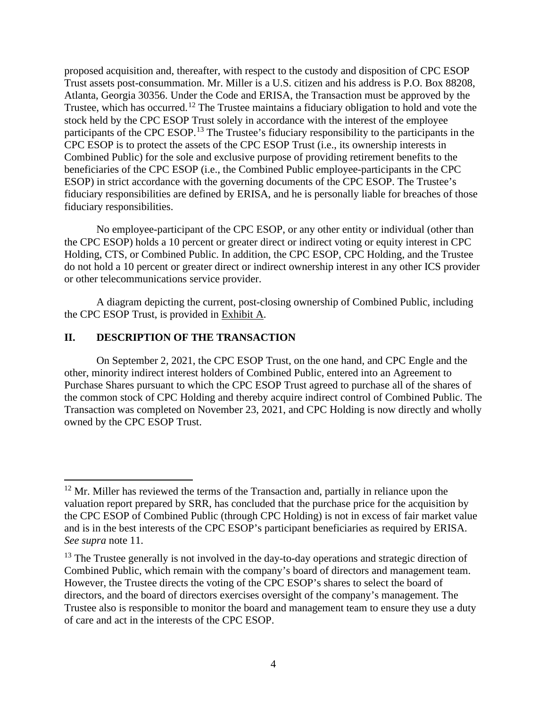proposed acquisition and, thereafter, with respect to the custody and disposition of CPC ESOP Trust assets post-consummation. Mr. Miller is a U.S. citizen and his address is P.O. Box 88208, Atlanta, Georgia 30356. Under the Code and ERISA, the Transaction must be approved by the Trustee, which has occurred.<sup>[12](#page-4-0)</sup> The Trustee maintains a fiduciary obligation to hold and vote the stock held by the CPC ESOP Trust solely in accordance with the interest of the employee participants of the CPC ESOP.<sup>[13](#page-4-1)</sup> The Trustee's fiduciary responsibility to the participants in the CPC ESOP is to protect the assets of the CPC ESOP Trust (i.e., its ownership interests in Combined Public) for the sole and exclusive purpose of providing retirement benefits to the beneficiaries of the CPC ESOP (i.e., the Combined Public employee-participants in the CPC ESOP) in strict accordance with the governing documents of the CPC ESOP. The Trustee's fiduciary responsibilities are defined by ERISA, and he is personally liable for breaches of those fiduciary responsibilities.

No employee-participant of the CPC ESOP, or any other entity or individual (other than the CPC ESOP) holds a 10 percent or greater direct or indirect voting or equity interest in CPC Holding, CTS, or Combined Public. In addition, the CPC ESOP, CPC Holding, and the Trustee do not hold a 10 percent or greater direct or indirect ownership interest in any other ICS provider or other telecommunications service provider.

A diagram depicting the current, post-closing ownership of Combined Public, including the CPC ESOP Trust, is provided in Exhibit A.

#### **II. DESCRIPTION OF THE TRANSACTION**

On September 2, 2021, the CPC ESOP Trust, on the one hand, and CPC Engle and the other, minority indirect interest holders of Combined Public, entered into an Agreement to Purchase Shares pursuant to which the CPC ESOP Trust agreed to purchase all of the shares of the common stock of CPC Holding and thereby acquire indirect control of Combined Public. The Transaction was completed on November 23, 2021, and CPC Holding is now directly and wholly owned by the CPC ESOP Trust.

<span id="page-4-0"></span><sup>&</sup>lt;sup>12</sup> Mr. Miller has reviewed the terms of the Transaction and, partially in reliance upon the valuation report prepared by SRR, has concluded that the purchase price for the acquisition by the CPC ESOP of Combined Public (through CPC Holding) is not in excess of fair market value and is in the best interests of the CPC ESOP's participant beneficiaries as required by ERISA. *See supra* note [11.](#page-3-5)

<span id="page-4-1"></span> $13$  The Trustee generally is not involved in the day-to-day operations and strategic direction of Combined Public, which remain with the company's board of directors and management team. However, the Trustee directs the voting of the CPC ESOP's shares to select the board of directors, and the board of directors exercises oversight of the company's management. The Trustee also is responsible to monitor the board and management team to ensure they use a duty of care and act in the interests of the CPC ESOP.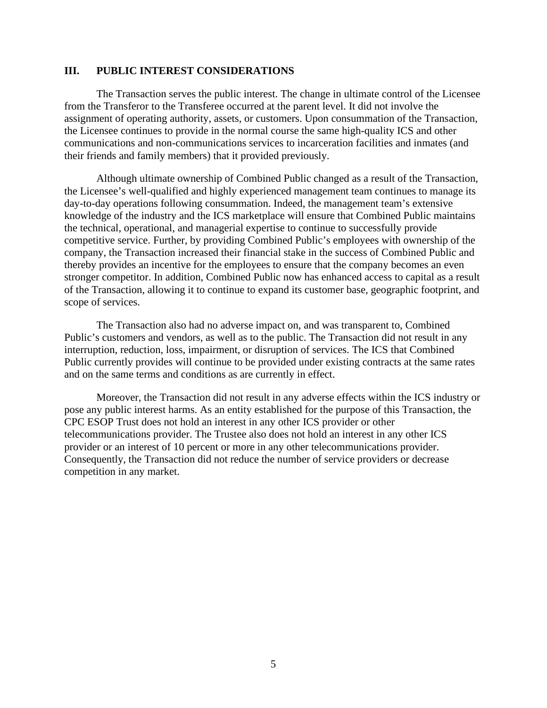#### **III. PUBLIC INTEREST CONSIDERATIONS**

The Transaction serves the public interest. The change in ultimate control of the Licensee from the Transferor to the Transferee occurred at the parent level. It did not involve the assignment of operating authority, assets, or customers. Upon consummation of the Transaction, the Licensee continues to provide in the normal course the same high-quality ICS and other communications and non-communications services to incarceration facilities and inmates (and their friends and family members) that it provided previously.

Although ultimate ownership of Combined Public changed as a result of the Transaction, the Licensee's well-qualified and highly experienced management team continues to manage its day-to-day operations following consummation. Indeed, the management team's extensive knowledge of the industry and the ICS marketplace will ensure that Combined Public maintains the technical, operational, and managerial expertise to continue to successfully provide competitive service. Further, by providing Combined Public's employees with ownership of the company, the Transaction increased their financial stake in the success of Combined Public and thereby provides an incentive for the employees to ensure that the company becomes an even stronger competitor. In addition, Combined Public now has enhanced access to capital as a result of the Transaction, allowing it to continue to expand its customer base, geographic footprint, and scope of services.

The Transaction also had no adverse impact on, and was transparent to, Combined Public's customers and vendors, as well as to the public. The Transaction did not result in any interruption, reduction, loss, impairment, or disruption of services. The ICS that Combined Public currently provides will continue to be provided under existing contracts at the same rates and on the same terms and conditions as are currently in effect.

Moreover, the Transaction did not result in any adverse effects within the ICS industry or pose any public interest harms. As an entity established for the purpose of this Transaction, the CPC ESOP Trust does not hold an interest in any other ICS provider or other telecommunications provider. The Trustee also does not hold an interest in any other ICS provider or an interest of 10 percent or more in any other telecommunications provider. Consequently, the Transaction did not reduce the number of service providers or decrease competition in any market.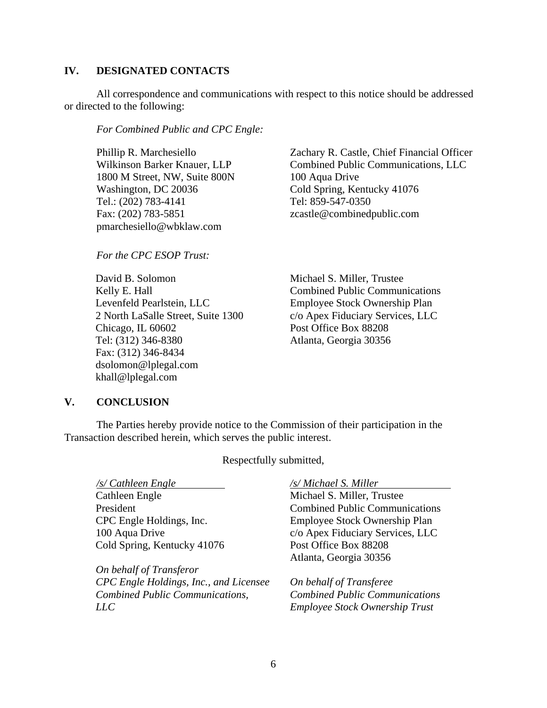#### **IV. DESIGNATED CONTACTS**

All correspondence and communications with respect to this notice should be addressed or directed to the following:

*For Combined Public and CPC Engle:* 

Phillip R. Marchesiello Wilkinson Barker Knauer, LLP 1800 M Street, NW, Suite 800N Washington, DC 20036 Tel.: (202) 783-4141 Fax: (202) 783-5851 pmarchesiello@wbklaw.com

*For the CPC ESOP Trust:* 

David B. Solomon Kelly E. Hall Levenfeld Pearlstein, LLC 2 North LaSalle Street, Suite 1300 Chicago, IL 60602 Tel: (312) 346-8380 Fax: (312) 346-8434 dsolomon@lplegal.com khall@lplegal.com

Zachary R. Castle, Chief Financial Officer Combined Public Communications, LLC 100 Aqua Drive Cold Spring, Kentucky 41076 Tel: 859-547-0350 zcastle@combinedpublic.com

Michael S. Miller, Trustee Combined Public Communications Employee Stock Ownership Plan c/o Apex Fiduciary Services, LLC Post Office Box 88208 Atlanta, Georgia 30356

#### **V. CONCLUSION**

The Parties hereby provide notice to the Commission of their participation in the Transaction described herein, which serves the public interest.

Respectfully submitted,

*/s/ Cathleen Engle /s/ Michael S. Miller* Cathleen Engle President CPC Engle Holdings, Inc. 100 Aqua Drive Cold Spring, Kentucky 41076

*On behalf of Transferor CPC Engle Holdings, Inc., and Licensee Combined Public Communications, LLC*

Michael S. Miller, Trustee Combined Public Communications Employee Stock Ownership Plan c/o Apex Fiduciary Services, LLC Post Office Box 88208 Atlanta, Georgia 30356

*On behalf of Transferee Combined Public Communications Employee Stock Ownership Trust*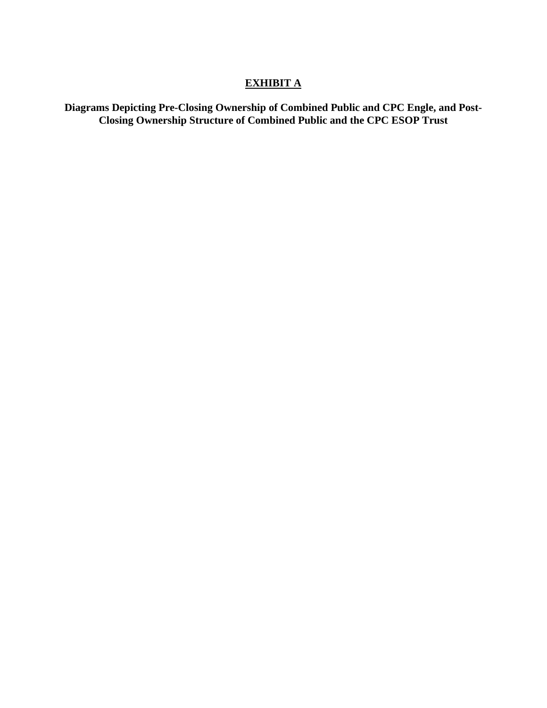# **EXHIBIT A**

**Diagrams Depicting Pre-Closing Ownership of Combined Public and CPC Engle, and Post-Closing Ownership Structure of Combined Public and the CPC ESOP Trust**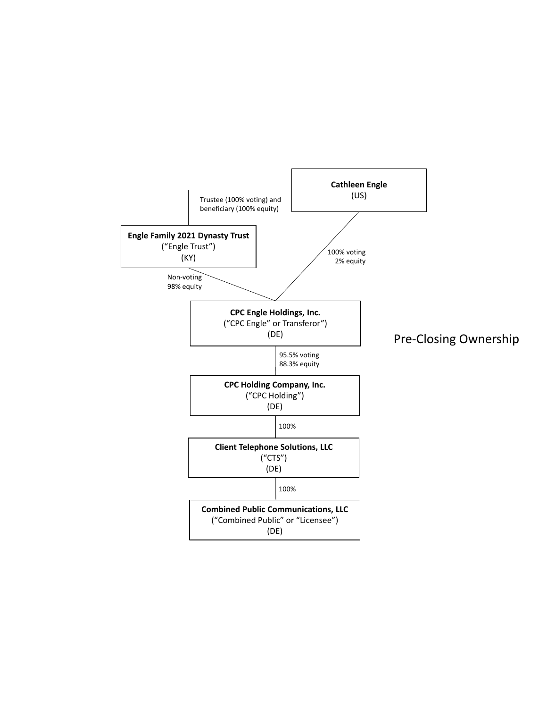